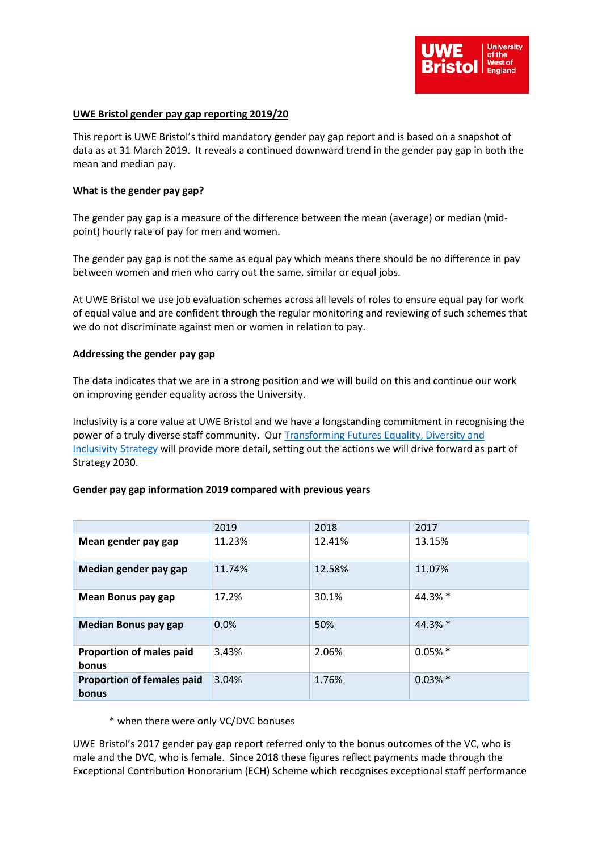

## **UWE Bristol gender pay gap reporting 2019/20**

This report is UWE Bristol's third mandatory gender pay gap report and is based on a snapshot of data as at 31 March 2019. It reveals a continued downward trend in the gender pay gap in both the mean and median pay.

### **What is the gender pay gap?**

The gender pay gap is a measure of the difference between the mean (average) or median (midpoint) hourly rate of pay for men and women.

The gender pay gap is not the same as equal pay which means there should be no difference in pay between women and men who carry out the same, similar or equal jobs.

At UWE Bristol we use job evaluation schemes across all levels of roles to ensure equal pay for work of equal value and are confident through the regular monitoring and reviewing of such schemes that we do not discriminate against men or women in relation to pay.

#### **Addressing the gender pay gap**

The data indicates that we are in a strong position and we will build on this and continue our work on improving gender equality across the University.

Inclusivity is a core value at UWE Bristol and we have a longstanding commitment in recognising the power of a truly diverse staff community. Our [Transforming Futures Equality, Diversity and](https://intranet.uwe.ac.uk/about-uwe-bristol/our-strategy/equality-diversity-and-inclusivity)  [Inclusivity Strategy](https://intranet.uwe.ac.uk/about-uwe-bristol/our-strategy/equality-diversity-and-inclusivity) will provide more detail, setting out the actions we will drive forward as part of Strategy 2030.

## **Gender pay gap information 2019 compared with previous years**

|                                            | 2019   | 2018   | 2017       |
|--------------------------------------------|--------|--------|------------|
| Mean gender pay gap                        | 11.23% | 12.41% | 13.15%     |
| Median gender pay gap                      | 11.74% | 12.58% | 11.07%     |
| Mean Bonus pay gap                         | 17.2%  | 30.1%  | $44.3%$ *  |
| <b>Median Bonus pay gap</b>                | 0.0%   | 50%    | 44.3% *    |
| <b>Proportion of males paid</b><br>bonus   | 3.43%  | 2.06%  | $0.05\%$ * |
| <b>Proportion of females paid</b><br>bonus | 3.04%  | 1.76%  | $0.03\%$ * |

#### \* when there were only VC/DVC bonuses

UWE Bristol's 2017 gender pay gap report referred only to the bonus outcomes of the VC, who is male and the DVC, who is female. Since 2018 these figures reflect payments made through the Exceptional Contribution Honorarium (ECH) Scheme which recognises exceptional staff performance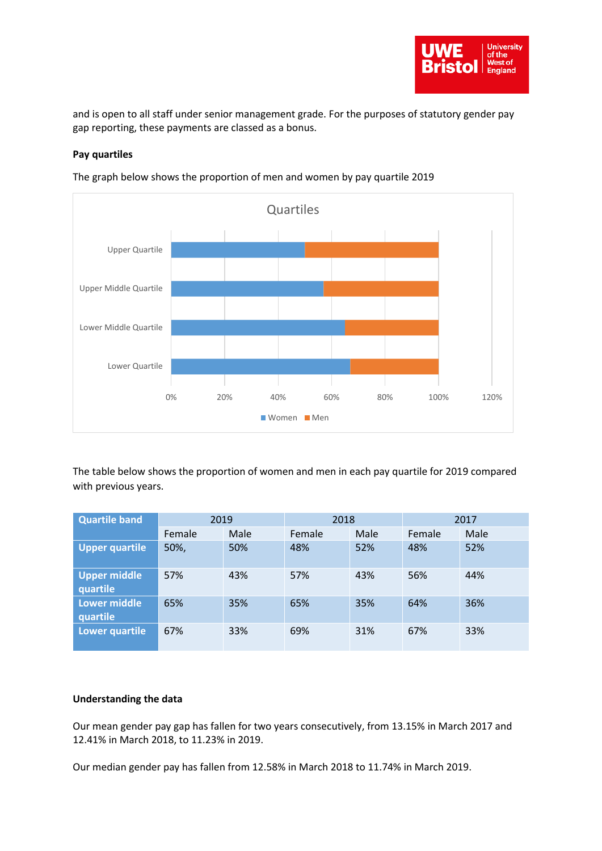

and is open to all staff under senior management grade. For the purposes of statutory gender pay gap reporting, these payments are classed as a bonus.

# **Pay quartiles**



The graph below shows the proportion of men and women by pay quartile 2019

The table below shows the proportion of women and men in each pay quartile for 2019 compared with previous years.

| <b>Quartile band</b>            | 2019   |      | 2018   |      | 2017   |      |
|---------------------------------|--------|------|--------|------|--------|------|
|                                 | Female | Male | Female | Male | Female | Male |
| <b>Upper quartile</b>           | 50%,   | 50%  | 48%    | 52%  | 48%    | 52%  |
| Upper middle<br>quartile        | 57%    | 43%  | 57%    | 43%  | 56%    | 44%  |
| <b>Lower middle</b><br>quartile | 65%    | 35%  | 65%    | 35%  | 64%    | 36%  |
| Lower quartile                  | 67%    | 33%  | 69%    | 31%  | 67%    | 33%  |

## **Understanding the data**

Our mean gender pay gap has fallen for two years consecutively, from 13.15% in March 2017 and 12.41% in March 2018, to 11.23% in 2019.

Our median gender pay has fallen from 12.58% in March 2018 to 11.74% in March 2019.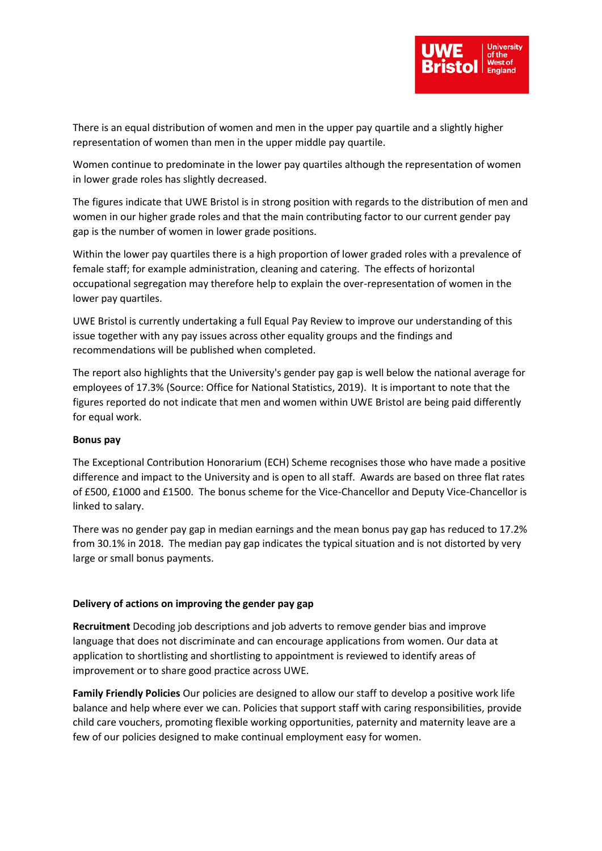

There is an equal distribution of women and men in the upper pay quartile and a slightly higher representation of women than men in the upper middle pay quartile.

Women continue to predominate in the lower pay quartiles although the representation of women in lower grade roles has slightly decreased.

The figures indicate that UWE Bristol is in strong position with regards to the distribution of men and women in our higher grade roles and that the main contributing factor to our current gender pay gap is the number of women in lower grade positions.

Within the lower pay quartiles there is a high proportion of lower graded roles with a prevalence of female staff; for example administration, cleaning and catering. The effects of horizontal occupational segregation may therefore help to explain the over-representation of women in the lower pay quartiles.

UWE Bristol is currently undertaking a full Equal Pay Review to improve our understanding of this issue together with any pay issues across other equality groups and the findings and recommendations will be published when completed.

The report also highlights that the University's gender pay gap is well below the national average for employees of 17.3% (Source: Office for National Statistics, 2019). It is important to note that the figures reported do not indicate that men and women within UWE Bristol are being paid differently for equal work.

## **Bonus pay**

The Exceptional Contribution Honorarium (ECH) Scheme recognises those who have made a positive difference and impact to the University and is open to all staff. Awards are based on three flat rates of £500, £1000 and £1500. The bonus scheme for the Vice-Chancellor and Deputy Vice-Chancellor is linked to salary.

There was no gender pay gap in median earnings and the mean bonus pay gap has reduced to 17.2% from 30.1% in 2018. The median pay gap indicates the typical situation and is not distorted by very large or small bonus payments.

### **Delivery of actions on improving the gender pay gap**

**Recruitment** Decoding job descriptions and job adverts to remove gender bias and improve language that does not discriminate and can encourage applications from women. Our data at application to shortlisting and shortlisting to appointment is reviewed to identify areas of improvement or to share good practice across UWE.

**Family Friendly Policies** Our policies are designed to allow our staff to develop a positive work life balance and help where ever we can. Policies that support staff with caring responsibilities, provide child care vouchers, promoting flexible working opportunities, paternity and maternity leave are a few of our policies designed to make continual employment easy for women.